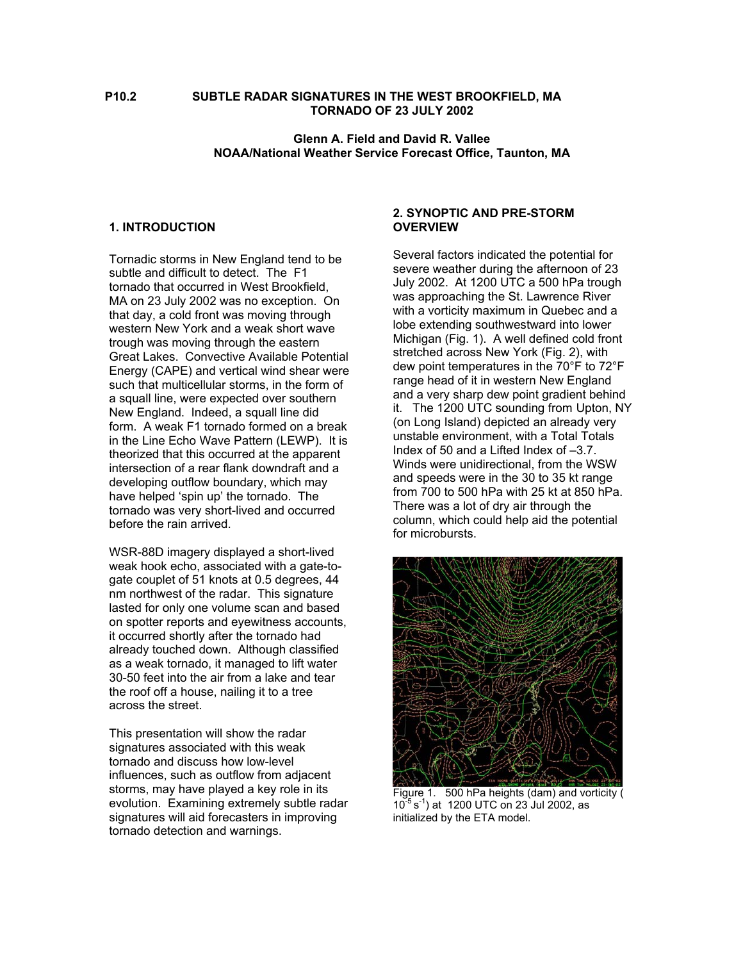### **P10.2 SUBTLE RADAR SIGNATURES IN THE WEST BROOKFIELD, MA TORNADO OF 23 JULY 2002**

### **Glenn A. Field and David R. Vallee NOAA/National Weather Service Forecast Office, Taunton, MA**

#### **1. INTRODUCTION**

Tornadic storms in New England tend to be subtle and difficult to detect. The F1 tornado that occurred in West Brookfield, MA on 23 July 2002 was no exception. On that day, a cold front was moving through western New York and a weak short wave trough was moving through the eastern Great Lakes. Convective Available Potential Energy (CAPE) and vertical wind shear were such that multicellular storms, in the form of a squall line, were expected over southern New England. Indeed, a squall line did form. A weak F1 tornado formed on a break in the Line Echo Wave Pattern (LEWP). It is theorized that this occurred at the apparent intersection of a rear flank downdraft and a developing outflow boundary, which may have helped 'spin up' the tornado. The tornado was very short-lived and occurred before the rain arrived.

WSR-88D imagery displayed a short-lived weak hook echo, associated with a gate-togate couplet of 51 knots at 0.5 degrees, 44 nm northwest of the radar. This signature lasted for only one volume scan and based on spotter reports and eyewitness accounts, it occurred shortly after the tornado had already touched down. Although classified as a weak tornado, it managed to lift water 30-50 feet into the air from a lake and tear the roof off a house, nailing it to a tree across the street.

This presentation will show the radar signatures associated with this weak tornado and discuss how low-level influences, such as outflow from adjacent storms, may have played a key role in its evolution. Examining extremely subtle radar signatures will aid forecasters in improving tornado detection and warnings.

#### **2. SYNOPTIC AND PRE-STORM OVERVIEW**

Several factors indicated the potential for severe weather during the afternoon of 23 July 2002. At 1200 UTC a 500 hPa trough was approaching the St. Lawrence River with a vorticity maximum in Quebec and a lobe extending southwestward into lower Michigan (Fig. 1). A well defined cold front stretched across New York (Fig. 2), with dew point temperatures in the 70°F to 72°F range head of it in western New England and a very sharp dew point gradient behind it. The 1200 UTC sounding from Upton, NY (on Long Island) depicted an already very unstable environment, with a Total Totals Index of 50 and a Lifted Index of –3.7. Winds were unidirectional, from the WSW and speeds were in the 30 to 35 kt range from 700 to 500 hPa with 25 kt at 850 hPa. There was a lot of dry air through the column, which could help aid the potential for microbursts.



Figure 1. 500 hPa heights (dam) and vorticity (  $10^{-5}$  s<sup>-1</sup>) at 1200 UTC on 23 Jul 2002, as initialized by the ETA model.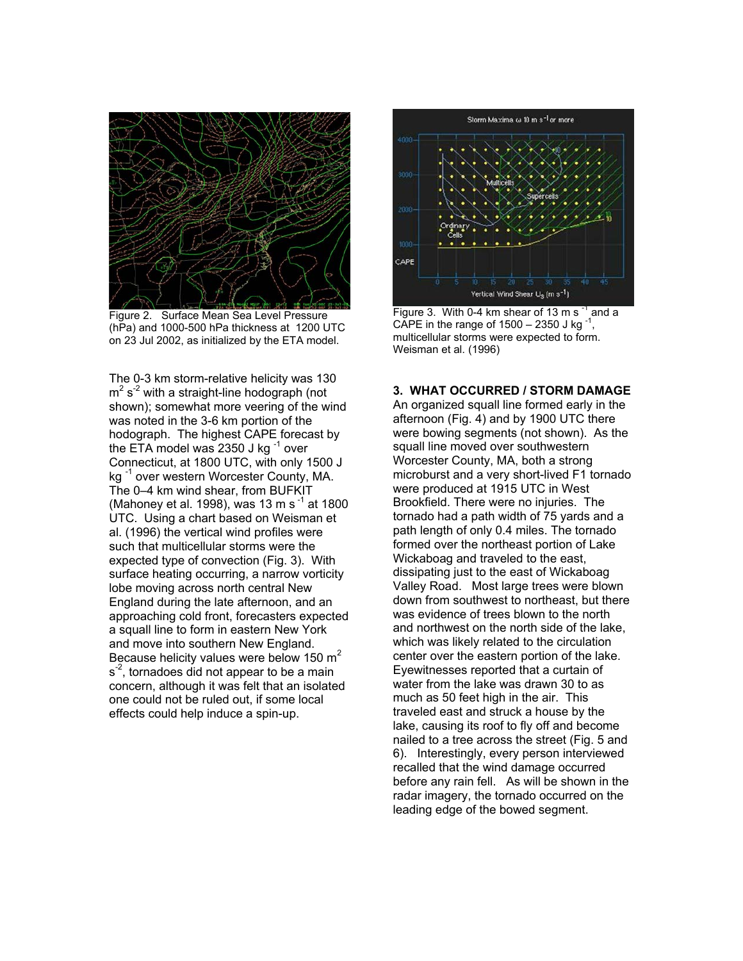

Figure 2. Surface Mean Sea Level Pressure (hPa) and 1000-500 hPa thickness at 1200 UTC on 23 Jul 2002, as initialized by the ETA model.

The 0-3 km storm-relative helicity was 130  $m^2$  s<sup>-2</sup> with a straight-line hodograph (not shown); somewhat more veering of the wind was noted in the 3-6 km portion of the hodograph. The highest CAPE forecast by the ETA model was 2350 J kg $^{-1}$  over Connecticut, at 1800 UTC, with only 1500 J kg<sup>-1</sup> over western Worcester County, MA. The 0–4 km wind shear, from BUFKIT (Mahoney et al. 1998), was 13 m s<sup>-1</sup> at 1800 UTC. Using a chart based on Weisman et al. (1996) the vertical wind profiles were such that multicellular storms were the expected type of convection (Fig. 3). With surface heating occurring, a narrow vorticity lobe moving across north central New England during the late afternoon, and an approaching cold front, forecasters expected a squall line to form in eastern New York and move into southern New England. Because helicity values were below 150  $m<sup>2</sup>$  $s<sup>-2</sup>$ , tornadoes did not appear to be a main concern, although it was felt that an isolated one could not be ruled out, if some local effects could help induce a spin-up.



Figure 3. With 0-4 km shear of 13 m s<sup>-1</sup> and a CAPE in the range of  $1500 - 2350$  J kg<sup>-1</sup> multicellular storms were expected to form. Weisman et al. (1996)

### **3. WHAT OCCURRED / STORM DAMAGE**

An organized squall line formed early in the afternoon (Fig. 4) and by 1900 UTC there were bowing segments (not shown). As the squall line moved over southwestern Worcester County, MA, both a strong microburst and a very short-lived F1 tornado were produced at 1915 UTC in West Brookfield. There were no injuries. The tornado had a path width of 75 yards and a path length of only 0.4 miles. The tornado formed over the northeast portion of Lake Wickaboag and traveled to the east, dissipating just to the east of Wickaboag Valley Road. Most large trees were blown down from southwest to northeast, but there was evidence of trees blown to the north and northwest on the north side of the lake, which was likely related to the circulation center over the eastern portion of the lake. Eyewitnesses reported that a curtain of water from the lake was drawn 30 to as much as 50 feet high in the air. This traveled east and struck a house by the lake, causing its roof to fly off and become nailed to a tree across the street (Fig. 5 and 6). Interestingly, every person interviewed recalled that the wind damage occurred before any rain fell. As will be shown in the radar imagery, the tornado occurred on the leading edge of the bowed segment.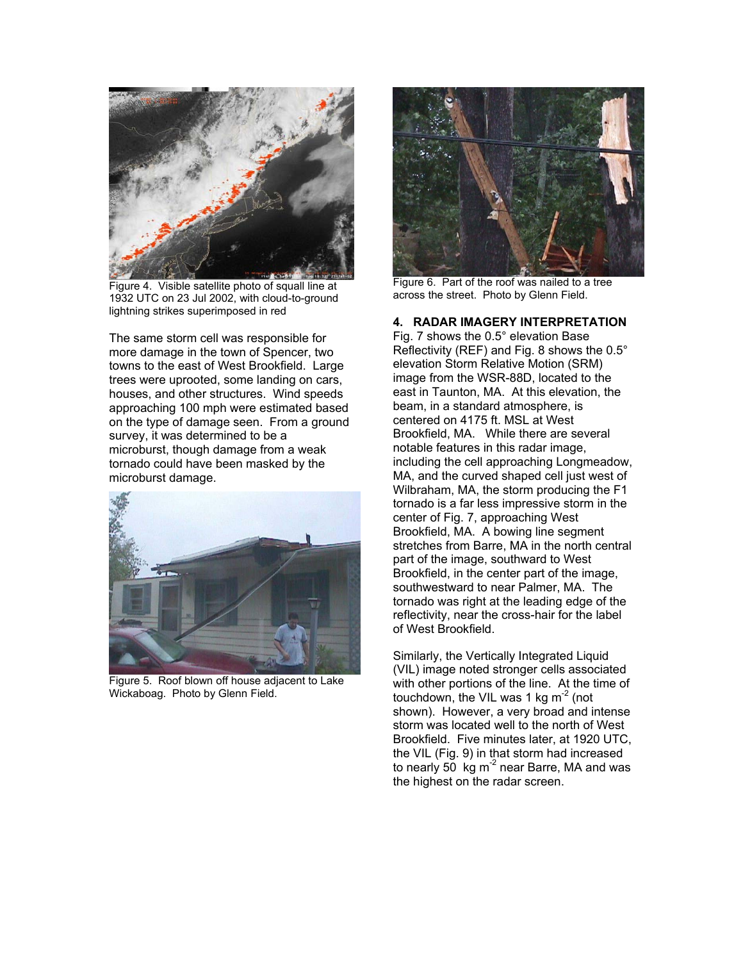

Figure 4. Visible satellite photo of squall line at 1932 UTC on 23 Jul 2002, with cloud-to-ground lightning strikes superimposed in red

The same storm cell was responsible for more damage in the town of Spencer, two towns to the east of West Brookfield. Large trees were uprooted, some landing on cars, houses, and other structures. Wind speeds approaching 100 mph were estimated based on the type of damage seen. From a ground survey, it was determined to be a microburst, though damage from a weak tornado could have been masked by the microburst damage.



Figure 5. Roof blown off house adjacent to Lake Wickaboag. Photo by Glenn Field.



Figure 6. Part of the roof was nailed to a tree across the street. Photo by Glenn Field.

# **4. RADAR IMAGERY INTERPRETATION**

Fig. 7 shows the 0.5° elevation Base Reflectivity (REF) and Fig. 8 shows the 0.5° elevation Storm Relative Motion (SRM) image from the WSR-88D, located to the east in Taunton, MA. At this elevation, the beam, in a standard atmosphere, is centered on 4175 ft. MSL at West Brookfield, MA. While there are several notable features in this radar image, including the cell approaching Longmeadow, MA, and the curved shaped cell just west of Wilbraham, MA, the storm producing the F1 tornado is a far less impressive storm in the center of Fig. 7, approaching West Brookfield, MA. A bowing line segment stretches from Barre, MA in the north central part of the image, southward to West Brookfield, in the center part of the image, southwestward to near Palmer, MA. The tornado was right at the leading edge of the reflectivity, near the cross-hair for the label of West Brookfield.

Similarly, the Vertically Integrated Liquid (VIL) image noted stronger cells associated with other portions of the line. At the time of touchdown, the VIL was 1 kg  $\text{m}^2$  (not shown). However, a very broad and intense storm was located well to the north of West Brookfield. Five minutes later, at 1920 UTC, the VIL (Fig. 9) in that storm had increased to nearly 50 kg  $m^2$  near Barre, MA and was the highest on the radar screen.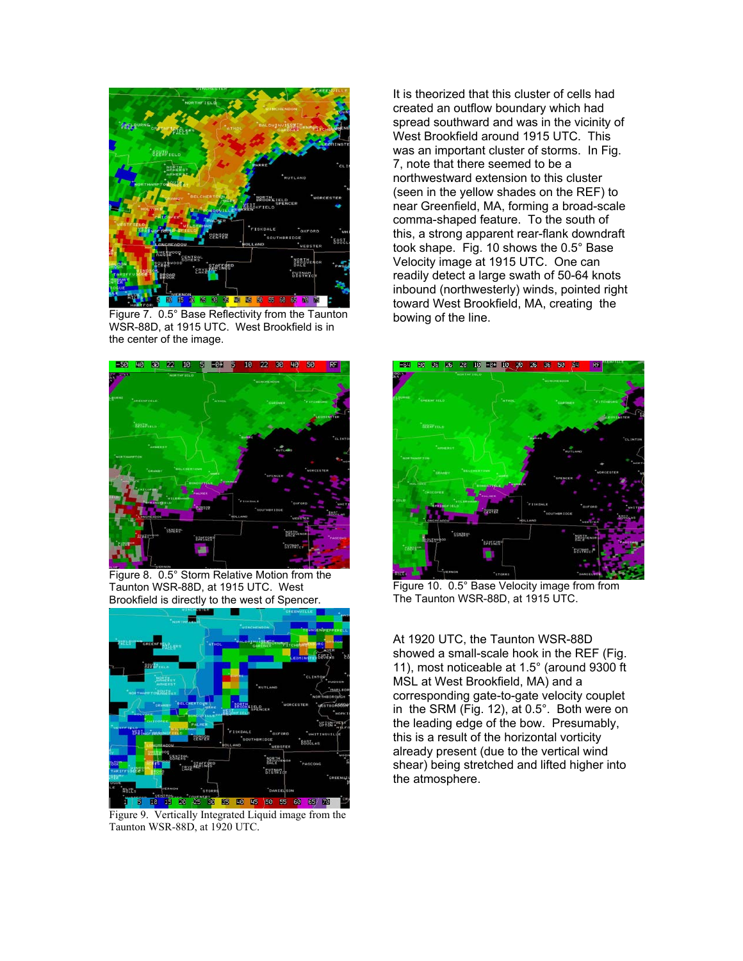

Figure 7. 0.5° Base Reflectivity from the Taunton WSR-88D, at 1915 UTC. West Brookfield is in the center of the image.



Figure 8. 0.5° Storm Relative Motion from the Taunton WSR-88D, at 1915 UTC. West Brookfield is directly to the west of Spencer.



Figure 9. Vertically Integrated Liquid image from the Taunton WSR-88D, at 1920 UTC.

It is theorized that this cluster of cells had created an outflow boundary which had spread southward and was in the vicinity of West Brookfield around 1915 UTC. This was an important cluster of storms. In Fig. 7, note that there seemed to be a northwestward extension to this cluster (seen in the yellow shades on the REF) to near Greenfield, MA, forming a broad-scale comma-shaped feature. To the south of this, a strong apparent rear-flank downdraft took shape. Fig. 10 shows the 0.5° Base Velocity image at 1915 UTC. One can readily detect a large swath of 50-64 knots inbound (northwesterly) winds, pointed right toward West Brookfield, MA, creating the bowing of the line.



Figure 10. 0.5° Base Velocity image from from The Taunton WSR-88D, at 1915 UTC.

At 1920 UTC, the Taunton WSR-88D showed a small-scale hook in the REF (Fig. 11), most noticeable at 1.5° (around 9300 ft MSL at West Brookfield, MA) and a corresponding gate-to-gate velocity couplet in the SRM (Fig. 12), at 0.5°. Both were on the leading edge of the bow. Presumably, this is a result of the horizontal vorticity already present (due to the vertical wind shear) being stretched and lifted higher into the atmosphere.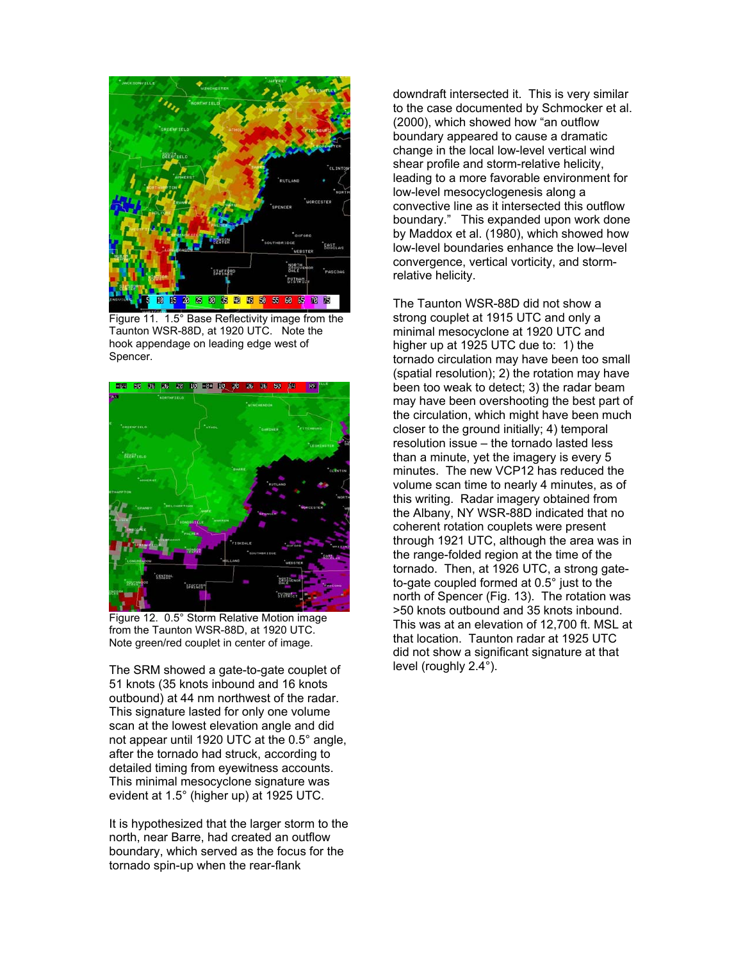

Figure 11. 1.5° Base Reflectivity image from the Taunton WSR-88D, at 1920 UTC. Note the hook appendage on leading edge west of Spencer.



Figure 12. 0.5° Storm Relative Motion image from the Taunton WSR-88D, at 1920 UTC. Note green/red couplet in center of image.

The SRM showed a gate-to-gate couplet of 51 knots (35 knots inbound and 16 knots outbound) at 44 nm northwest of the radar. This signature lasted for only one volume scan at the lowest elevation angle and did not appear until 1920 UTC at the 0.5° angle, after the tornado had struck, according to detailed timing from eyewitness accounts. This minimal mesocyclone signature was evident at 1.5° (higher up) at 1925 UTC.

It is hypothesized that the larger storm to the north, near Barre, had created an outflow boundary, which served as the focus for the tornado spin-up when the rear-flank

downdraft intersected it. This is very similar to the case documented by Schmocker et al. (2000), which showed how "an outflow boundary appeared to cause a dramatic change in the local low-level vertical wind shear profile and storm-relative helicity, leading to a more favorable environment for low-level mesocyclogenesis along a convective line as it intersected this outflow boundary." This expanded upon work done by Maddox et al. (1980), which showed how low-level boundaries enhance the low–level convergence, vertical vorticity, and stormrelative helicity.

The Taunton WSR-88D did not show a strong couplet at 1915 UTC and only a minimal mesocyclone at 1920 UTC and higher up at 1925 UTC due to: 1) the tornado circulation may have been too small (spatial resolution); 2) the rotation may have been too weak to detect; 3) the radar beam may have been overshooting the best part of the circulation, which might have been much closer to the ground initially; 4) temporal resolution issue – the tornado lasted less than a minute, yet the imagery is every 5 minutes. The new VCP12 has reduced the volume scan time to nearly 4 minutes, as of this writing. Radar imagery obtained from the Albany, NY WSR-88D indicated that no coherent rotation couplets were present through 1921 UTC, although the area was in the range-folded region at the time of the tornado. Then, at 1926 UTC, a strong gateto-gate coupled formed at  $0.5^\circ$  just to the north of Spencer (Fig. 13). The rotation was >50 knots outbound and 35 knots inbound. This was at an elevation of 12,700 ft. MSL at that location. Taunton radar at 1925 UTC did not show a significant signature at that level (roughly 2.4°).